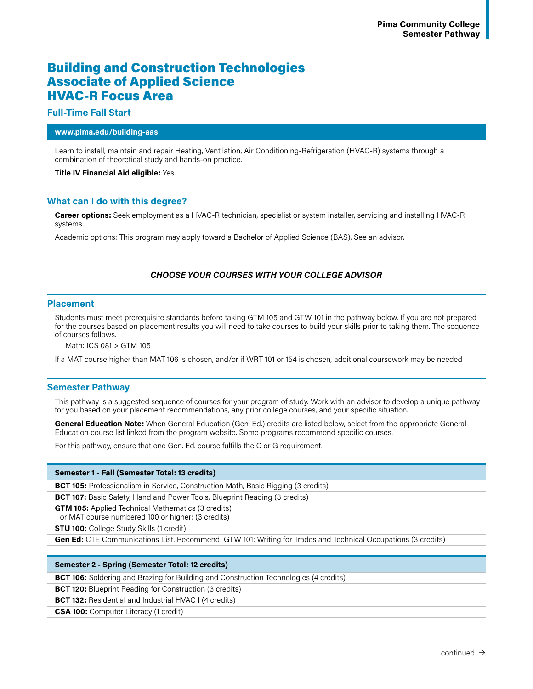# Building and Construction Technologies Associate of Applied Science HVAC-R Focus Area

# **Full-Time Fall Start**

### **www.pima.edu/building-aas**

Learn to install, maintain and repair Heating, Ventilation, Air Conditioning-Refrigeration (HVAC-R) systems through a combination of theoretical study and hands-on practice.

### **Title IV Financial Aid eligible:** Yes

# **What can I do with this degree?**

**Career options:** Seek employment as a HVAC-R technician, specialist or system installer, servicing and installing HVAC-R systems.

Academic options: This program may apply toward a Bachelor of Applied Science (BAS). See an advisor.

# *CHOOSE YOUR COURSES WITH YOUR COLLEGE ADVISOR*

## **Placement**

Students must meet prerequisite standards before taking GTM 105 and GTW 101 in the pathway below. If you are not prepared for the courses based on placement results you will need to take courses to build your skills prior to taking them. The sequence of courses follows.

Math: ICS 081 > GTM 105

If a MAT course higher than MAT 106 is chosen, and/or if WRT 101 or 154 is chosen, additional coursework may be needed

### **Semester Pathway**

This pathway is a suggested sequence of courses for your program of study. Work with an advisor to develop a unique pathway for you based on your placement recommendations, any prior college courses, and your specific situation.

**General Education Note:** When General Education (Gen. Ed.) credits are listed below, select from the appropriate General Education course list linked from the program website. Some programs recommend specific courses.

For this pathway, ensure that one Gen. Ed. course fulfills the C or G requirement.

### **Semester 1 - Fall (Semester Total: 13 credits)**

**BCT 105:** Professionalism in Service, Construction Math, Basic Rigging (3 credits)

**BCT 107:** Basic Safety, Hand and Power Tools, Blueprint Reading (3 credits)

**GTM 105:** Applied Technical Mathematics (3 credits)

or MAT course numbered 100 or higher: (3 credits)

**STU 100:** College Study Skills (1 credit)

**Gen Ed:** CTE Communications List. Recommend: GTW 101: Writing for Trades and Technical Occupations (3 credits)

#### **Semester 2 - Spring (Semester Total: 12 credits)**

**BCT 106:** Soldering and Brazing for Building and Construction Technologies (4 credits)

**BCT 120:** Blueprint Reading for Construction (3 credits)

**BCT 132:** Residential and Industrial HVAC I (4 credits)

**CSA 100:** Computer Literacy (1 credit)